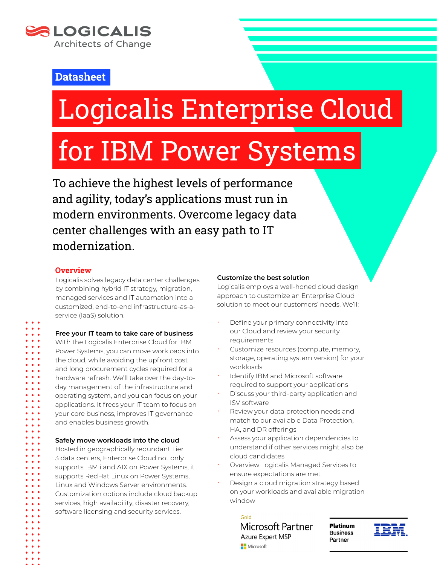

### **Datasheet**

# Logicalis Enterprise Cloud

# for IBM Power Systems

To achieve the highest levels of performance and agility, today's applications must run in modern environments. Overcome legacy data center challenges with an easy path to IT modernization.

#### **Overview**

Logicalis solves legacy data center challenges by combining hybrid IT strategy, migration, managed services and IT automation into a customized, end-to-end infrastructure-as-aservice (IaaS) solution.

**Free your IT team to take care of business** With the Logicalis Enterprise Cloud for IBM Power Systems, you can move workloads into the cloud, while avoiding the upfront cost and long procurement cycles required for a hardware refresh. We'll take over the day-today management of the infrastructure and operating system, and you can focus on your applications. It frees your IT team to focus on your core business, improves IT governance and enables business growth.

**Safely move workloads into the cloud**

Hosted in geographically redundant Tier 3 data centers, Enterprise Cloud not only supports IBM i and AIX on Power Systems, it supports RedHat Linux on Power Systems, Linux and Windows Server environments. Customization options include cloud backup services, high availability, disaster recovery, software licensing and security services.

#### **Customize the best solution**

Logicalis employs a well-honed cloud design approach to customize an Enterprise Cloud solution to meet our customers' needs. We'll:

- Define your primary connectivity into our Cloud and review your security requirements
- Customize resources (compute, memory, storage, operating system version) for your workloads
- Identify IBM and Microsoft software required to support your applications
- Discuss your third-party application and ISV software
- Review your data protection needs and match to our available Data Protection, HA, and DR offerings
- Assess your application dependencies to understand if other services might also be cloud candidates
- Overview Logicalis Managed Services to ensure expectations are met
- Design a cloud migration strategy based on your workloads and available migration window

Gold Microsoft Partner **Azure Expert MSP** Microsoft

**Platinum Business** Partner